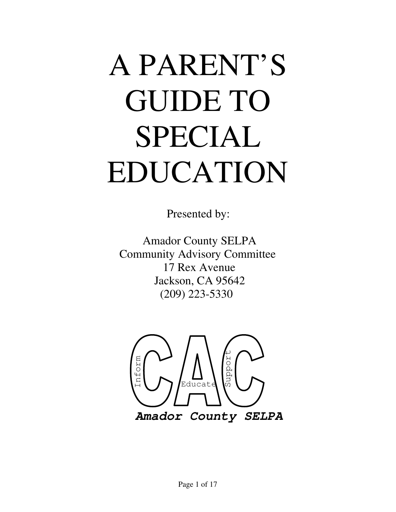# A PARENT'S GUIDE TO SPECIAL EDUCATION

Presented by:

 Amador County SELPA Community Advisory Committee 17 Rex Avenue Jackson, CA 95642 (209) 223-5330

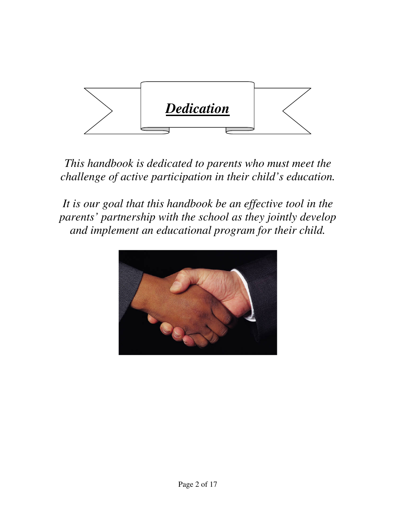

*This handbook is dedicated to parents who must meet the challenge of active participation in their child's education.* 

*It is our goal that this handbook be an effective tool in the parents' partnership with the school as they jointly develop and implement an educational program for their child.* 

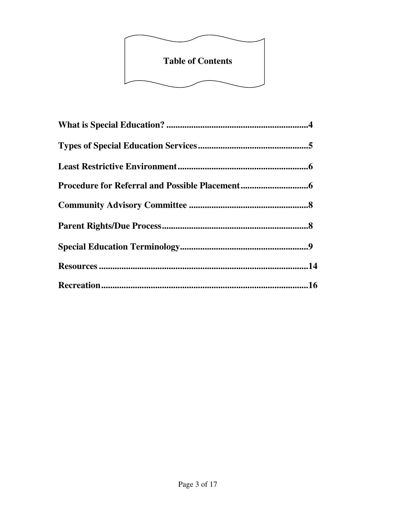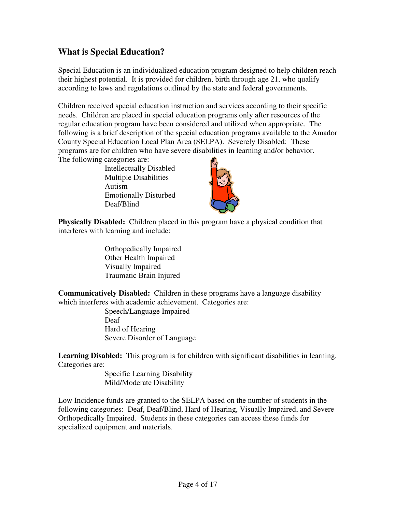## **What is Special Education?**

Special Education is an individualized education program designed to help children reach their highest potential. It is provided for children, birth through age 21, who qualify according to laws and regulations outlined by the state and federal governments.

Children received special education instruction and services according to their specific needs. Children are placed in special education programs only after resources of the regular education program have been considered and utilized when appropriate. The following is a brief description of the special education programs available to the Amador County Special Education Local Plan Area (SELPA). Severely Disabled: These programs are for children who have severe disabilities in learning and/or behavior. The following categories are:

Intellectually Disabled Multiple Disabilities Autism Emotionally Disturbed Deaf/Blind



**Physically Disabled:** Children placed in this program have a physical condition that interferes with learning and include:

> Orthopedically Impaired Other Health Impaired Visually Impaired Traumatic Brain Injured

**Communicatively Disabled:** Children in these programs have a language disability which interferes with academic achievement. Categories are:

Speech/Language Impaired Deaf Hard of Hearing Severe Disorder of Language

Learning Disabled: This program is for children with significant disabilities in learning. Categories are:

> Specific Learning Disability Mild/Moderate Disability

Low Incidence funds are granted to the SELPA based on the number of students in the following categories: Deaf, Deaf/Blind, Hard of Hearing, Visually Impaired, and Severe Orthopedically Impaired. Students in these categories can access these funds for specialized equipment and materials.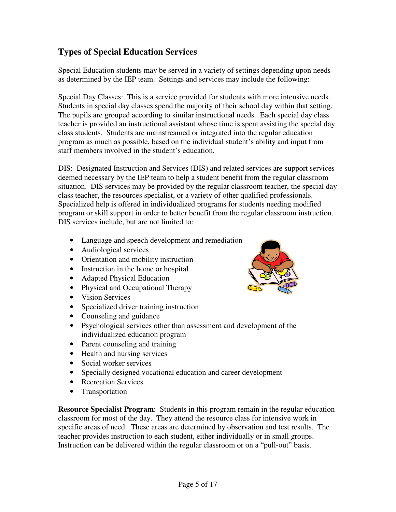# **Types of Special Education Services**

Special Education students may be served in a variety of settings depending upon needs as determined by the IEP team. Settings and services may include the following:

Special Day Classes: This is a service provided for students with more intensive needs. Students in special day classes spend the majority of their school day within that setting. The pupils are grouped according to similar instructional needs. Each special day class teacher is provided an instructional assistant whose time is spent assisting the special day class students. Students are mainstreamed or integrated into the regular education program as much as possible, based on the individual student's ability and input from staff members involved in the student's education.

DIS: Designated Instruction and Services (DIS) and related services are support services deemed necessary by the IEP team to help a student benefit from the regular classroom situation. DIS services may be provided by the regular classroom teacher, the special day class teacher, the resources specialist, or a variety of other qualified professionals. Specialized help is offered in individualized programs for students needing modified program or skill support in order to better benefit from the regular classroom instruction. DIS services include, but are not limited to:

- Language and speech development and remediation
- Audiological services
- Orientation and mobility instruction
- Instruction in the home or hospital
- Adapted Physical Education
- Physical and Occupational Therapy
- Vision Services
- Specialized driver training instruction
- Counseling and guidance
- Psychological services other than assessment and development of the individualized education program
- Parent counseling and training
- Health and nursing services
- Social worker services
- Specially designed vocational education and career development
- Recreation Services
- Transportation

**Resource Specialist Program**: Students in this program remain in the regular education classroom for most of the day. They attend the resource class for intensive work in specific areas of need. These areas are determined by observation and test results. The teacher provides instruction to each student, either individually or in small groups. Instruction can be delivered within the regular classroom or on a "pull-out" basis.

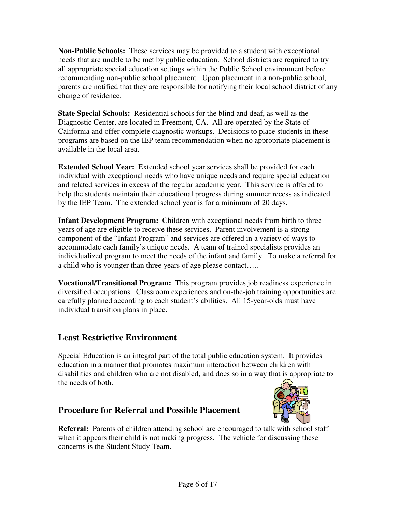**Non-Public Schools:** These services may be provided to a student with exceptional needs that are unable to be met by public education. School districts are required to try all appropriate special education settings within the Public School environment before recommending non-public school placement. Upon placement in a non-public school, parents are notified that they are responsible for notifying their local school district of any change of residence.

**State Special Schools:** Residential schools for the blind and deaf, as well as the Diagnostic Center, are located in Freemont, CA. All are operated by the State of California and offer complete diagnostic workups. Decisions to place students in these programs are based on the IEP team recommendation when no appropriate placement is available in the local area.

**Extended School Year:** Extended school year services shall be provided for each individual with exceptional needs who have unique needs and require special education and related services in excess of the regular academic year. This service is offered to help the students maintain their educational progress during summer recess as indicated by the IEP Team. The extended school year is for a minimum of 20 days.

**Infant Development Program:** Children with exceptional needs from birth to three years of age are eligible to receive these services. Parent involvement is a strong component of the "Infant Program" and services are offered in a variety of ways to accommodate each family's unique needs. A team of trained specialists provides an individualized program to meet the needs of the infant and family. To make a referral for a child who is younger than three years of age please contact…..

**Vocational/Transitional Program:** This program provides job readiness experience in diversified occupations. Classroom experiences and on-the-job training opportunities are carefully planned according to each student's abilities. All 15-year-olds must have individual transition plans in place.

# **Least Restrictive Environment**

Special Education is an integral part of the total public education system. It provides education in a manner that promotes maximum interaction between children with disabilities and children who are not disabled, and does so in a way that is appropriate to the needs of both.

# **Procedure for Referral and Possible Placement**



**Referral:** Parents of children attending school are encouraged to talk with school staff when it appears their child is not making progress. The vehicle for discussing these concerns is the Student Study Team.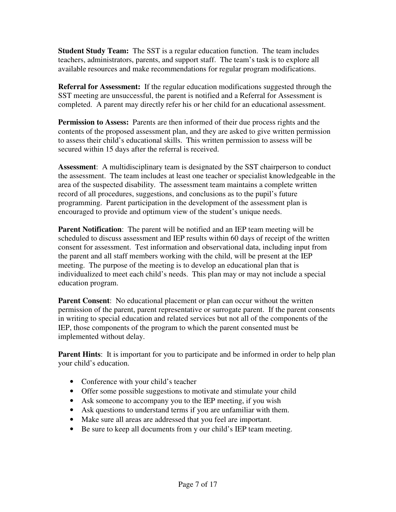**Student Study Team:** The SST is a regular education function. The team includes teachers, administrators, parents, and support staff. The team's task is to explore all available resources and make recommendations for regular program modifications.

**Referral for Assessment:** If the regular education modifications suggested through the SST meeting are unsuccessful, the parent is notified and a Referral for Assessment is completed. A parent may directly refer his or her child for an educational assessment.

**Permission to Assess:** Parents are then informed of their due process rights and the contents of the proposed assessment plan, and they are asked to give written permission to assess their child's educational skills. This written permission to assess will be secured within 15 days after the referral is received.

**Assessment**: A multidisciplinary team is designated by the SST chairperson to conduct the assessment. The team includes at least one teacher or specialist knowledgeable in the area of the suspected disability. The assessment team maintains a complete written record of all procedures, suggestions, and conclusions as to the pupil's future programming. Parent participation in the development of the assessment plan is encouraged to provide and optimum view of the student's unique needs.

**Parent Notification**: The parent will be notified and an IEP team meeting will be scheduled to discuss assessment and IEP results within 60 days of receipt of the written consent for assessment. Test information and observational data, including input from the parent and all staff members working with the child, will be present at the IEP meeting. The purpose of the meeting is to develop an educational plan that is individualized to meet each child's needs. This plan may or may not include a special education program.

**Parent Consent:** No educational placement or plan can occur without the written permission of the parent, parent representative or surrogate parent. If the parent consents in writing to special education and related services but not all of the components of the IEP, those components of the program to which the parent consented must be implemented without delay.

**Parent Hints:** It is important for you to participate and be informed in order to help plan your child's education.

- Conference with your child's teacher
- Offer some possible suggestions to motivate and stimulate your child
- Ask someone to accompany you to the IEP meeting, if you wish
- Ask questions to understand terms if you are unfamiliar with them.
- Make sure all areas are addressed that you feel are important.
- Be sure to keep all documents from y our child's IEP team meeting.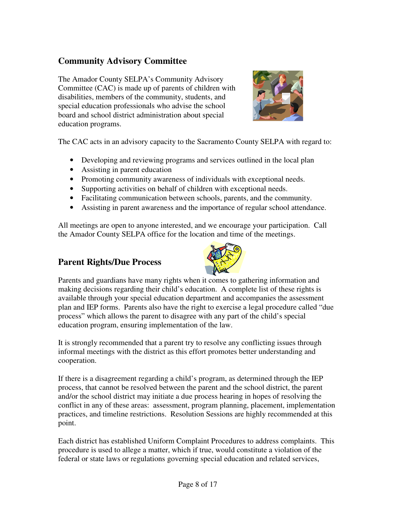# **Community Advisory Committee**

The Amador County SELPA's Community Advisory Committee (CAC) is made up of parents of children with disabilities, members of the community, students, and special education professionals who advise the school board and school district administration about special education programs.



The CAC acts in an advisory capacity to the Sacramento County SELPA with regard to:

- Developing and reviewing programs and services outlined in the local plan
- Assisting in parent education
- Promoting community awareness of individuals with exceptional needs.
- Supporting activities on behalf of children with exceptional needs.
- Facilitating communication between schools, parents, and the community.
- Assisting in parent awareness and the importance of regular school attendance.

All meetings are open to anyone interested, and we encourage your participation. Call the Amador County SELPA office for the location and time of the meetings.

### **Parent Rights/Due Process**



Parents and guardians have many rights when it comes to gathering information and making decisions regarding their child's education. A complete list of these rights is available through your special education department and accompanies the assessment plan and IEP forms. Parents also have the right to exercise a legal procedure called "due process" which allows the parent to disagree with any part of the child's special education program, ensuring implementation of the law.

It is strongly recommended that a parent try to resolve any conflicting issues through informal meetings with the district as this effort promotes better understanding and cooperation.

If there is a disagreement regarding a child's program, as determined through the IEP process, that cannot be resolved between the parent and the school district, the parent and/or the school district may initiate a due process hearing in hopes of resolving the conflict in any of these areas: assessment, program planning, placement, implementation practices, and timeline restrictions. Resolution Sessions are highly recommended at this point.

Each district has established Uniform Complaint Procedures to address complaints. This procedure is used to allege a matter, which if true, would constitute a violation of the federal or state laws or regulations governing special education and related services,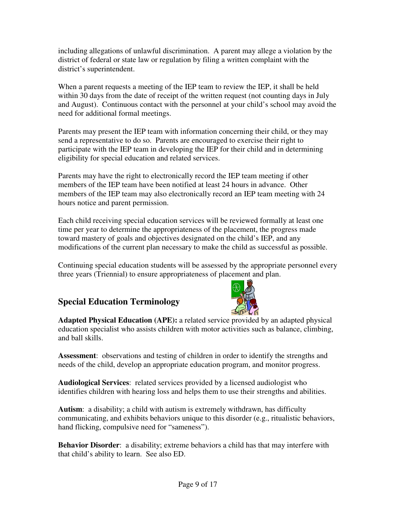including allegations of unlawful discrimination. A parent may allege a violation by the district of federal or state law or regulation by filing a written complaint with the district's superintendent.

When a parent requests a meeting of the IEP team to review the IEP, it shall be held within 30 days from the date of receipt of the written request (not counting days in July and August). Continuous contact with the personnel at your child's school may avoid the need for additional formal meetings.

Parents may present the IEP team with information concerning their child, or they may send a representative to do so. Parents are encouraged to exercise their right to participate with the IEP team in developing the IEP for their child and in determining eligibility for special education and related services.

Parents may have the right to electronically record the IEP team meeting if other members of the IEP team have been notified at least 24 hours in advance. Other members of the IEP team may also electronically record an IEP team meeting with 24 hours notice and parent permission.

Each child receiving special education services will be reviewed formally at least one time per year to determine the appropriateness of the placement, the progress made toward mastery of goals and objectives designated on the child's IEP, and any modifications of the current plan necessary to make the child as successful as possible.

Continuing special education students will be assessed by the appropriate personnel every three years (Triennial) to ensure appropriateness of placement and plan.

# **Special Education Terminology**



**Adapted Physical Education (APE):** a related service provided by an adapted physical education specialist who assists children with motor activities such as balance, climbing, and ball skills.

**Assessment**: observations and testing of children in order to identify the strengths and needs of the child, develop an appropriate education program, and monitor progress.

**Audiological Services**: related services provided by a licensed audiologist who identifies children with hearing loss and helps them to use their strengths and abilities.

**Autism**: a disability; a child with autism is extremely withdrawn, has difficulty communicating, and exhibits behaviors unique to this disorder (e.g., ritualistic behaviors, hand flicking, compulsive need for "sameness").

**Behavior Disorder**: a disability; extreme behaviors a child has that may interfere with that child's ability to learn. See also ED.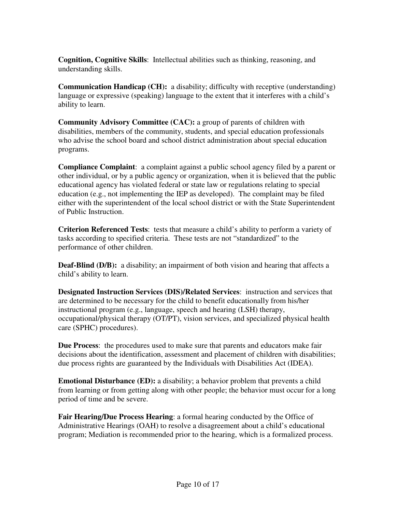**Cognition, Cognitive Skills**: Intellectual abilities such as thinking, reasoning, and understanding skills.

**Communication Handicap (CH):** a disability; difficulty with receptive (understanding) language or expressive (speaking) language to the extent that it interferes with a child's ability to learn.

**Community Advisory Committee (CAC):** a group of parents of children with disabilities, members of the community, students, and special education professionals who advise the school board and school district administration about special education programs.

**Compliance Complaint**: a complaint against a public school agency filed by a parent or other individual, or by a public agency or organization, when it is believed that the public educational agency has violated federal or state law or regulations relating to special education (e.g., not implementing the IEP as developed). The complaint may be filed either with the superintendent of the local school district or with the State Superintendent of Public Instruction.

**Criterion Referenced Tests**: tests that measure a child's ability to perform a variety of tasks according to specified criteria. These tests are not "standardized" to the performance of other children.

**Deaf-Blind (D/B):** a disability; an impairment of both vision and hearing that affects a child's ability to learn.

**Designated Instruction Services (DIS)/Related Services**: instruction and services that are determined to be necessary for the child to benefit educationally from his/her instructional program (e.g., language, speech and hearing (LSH) therapy, occupational/physical therapy (OT/PT), vision services, and specialized physical health care (SPHC) procedures).

**Due Process**: the procedures used to make sure that parents and educators make fair decisions about the identification, assessment and placement of children with disabilities; due process rights are guaranteed by the Individuals with Disabilities Act (IDEA).

**Emotional Disturbance (ED):** a disability; a behavior problem that prevents a child from learning or from getting along with other people; the behavior must occur for a long period of time and be severe.

**Fair Hearing/Due Process Hearing**: a formal hearing conducted by the Office of Administrative Hearings (OAH) to resolve a disagreement about a child's educational program; Mediation is recommended prior to the hearing, which is a formalized process.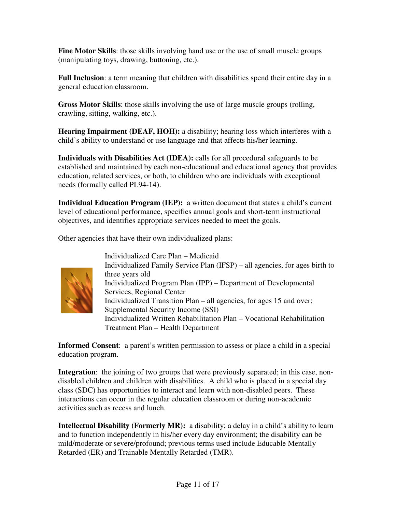**Fine Motor Skills**: those skills involving hand use or the use of small muscle groups (manipulating toys, drawing, buttoning, etc.).

**Full Inclusion**: a term meaning that children with disabilities spend their entire day in a general education classroom.

**Gross Motor Skills**: those skills involving the use of large muscle groups (rolling, crawling, sitting, walking, etc.).

**Hearing Impairment (DEAF, HOH):** a disability; hearing loss which interferes with a child's ability to understand or use language and that affects his/her learning.

**Individuals with Disabilities Act (IDEA):** calls for all procedural safeguards to be established and maintained by each non-educational and educational agency that provides education, related services, or both, to children who are individuals with exceptional needs (formally called PL94-14).

**Individual Education Program (IEP):** a written document that states a child's current level of educational performance, specifies annual goals and short-term instructional objectives, and identifies appropriate services needed to meet the goals.

Other agencies that have their own individualized plans:



Individualized Care Plan – Medicaid Individualized Family Service Plan (IFSP) – all agencies, for ages birth to three years old Individualized Program Plan (IPP) – Department of Developmental Services, Regional Center Individualized Transition Plan – all agencies, for ages 15 and over; Supplemental Security Income (SSI) Individualized Written Rehabilitation Plan – Vocational Rehabilitation Treatment Plan – Health Department

**Informed Consent**: a parent's written permission to assess or place a child in a special education program.

**Integration**: the joining of two groups that were previously separated; in this case, nondisabled children and children with disabilities. A child who is placed in a special day class (SDC) has opportunities to interact and learn with non-disabled peers. These interactions can occur in the regular education classroom or during non-academic activities such as recess and lunch.

**Intellectual Disability (Formerly MR):** a disability; a delay in a child's ability to learn and to function independently in his/her every day environment; the disability can be mild/moderate or severe/profound; previous terms used include Educable Mentally Retarded (ER) and Trainable Mentally Retarded (TMR).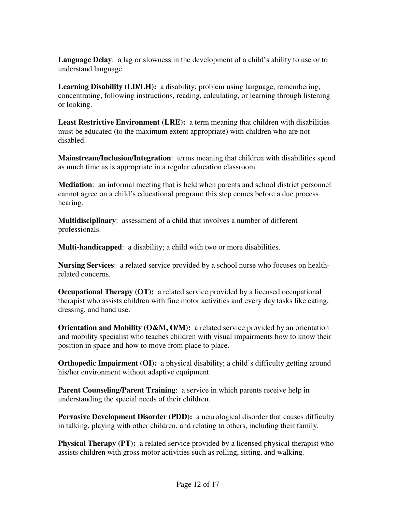**Language Delay**: a lag or slowness in the development of a child's ability to use or to understand language.

**Learning Disability (LD/LH):** a disability; problem using language, remembering, concentrating, following instructions, reading, calculating, or learning through listening or looking.

**Least Restrictive Environment (LRE):** a term meaning that children with disabilities must be educated (to the maximum extent appropriate) with children who are not disabled.

**Mainstream/Inclusion/Integration**: terms meaning that children with disabilities spend as much time as is appropriate in a regular education classroom.

**Mediation**: an informal meeting that is held when parents and school district personnel cannot agree on a child's educational program; this step comes before a due process hearing.

**Multidisciplinary**: assessment of a child that involves a number of different professionals.

**Multi-handicapped**: a disability; a child with two or more disabilities.

**Nursing Services**: a related service provided by a school nurse who focuses on healthrelated concerns.

**Occupational Therapy (OT):** a related service provided by a licensed occupational therapist who assists children with fine motor activities and every day tasks like eating, dressing, and hand use.

**Orientation and Mobility (O&M, O/M):** a related service provided by an orientation and mobility specialist who teaches children with visual impairments how to know their position in space and how to move from place to place.

**Orthopedic Impairment (OI):** a physical disability; a child's difficulty getting around his/her environment without adaptive equipment.

**Parent Counseling/Parent Training**: a service in which parents receive help in understanding the special needs of their children.

**Pervasive Development Disorder (PDD):** a neurological disorder that causes difficulty in talking, playing with other children, and relating to others, including their family.

**Physical Therapy (PT):** a related service provided by a licensed physical therapist who assists children with gross motor activities such as rolling, sitting, and walking.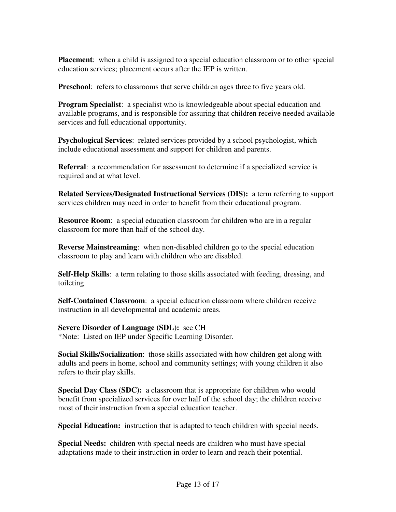**Placement:** when a child is assigned to a special education classroom or to other special education services; placement occurs after the IEP is written.

**Preschool:** refers to classrooms that serve children ages three to five years old.

**Program Specialist**: a specialist who is knowledgeable about special education and available programs, and is responsible for assuring that children receive needed available services and full educational opportunity.

**Psychological Services**: related services provided by a school psychologist, which include educational assessment and support for children and parents.

**Referral**: a recommendation for assessment to determine if a specialized service is required and at what level.

**Related Services/Designated Instructional Services (DIS):** a term referring to support services children may need in order to benefit from their educational program.

**Resource Room:** a special education classroom for children who are in a regular classroom for more than half of the school day.

**Reverse Mainstreaming**: when non-disabled children go to the special education classroom to play and learn with children who are disabled.

**Self-Help Skills**: a term relating to those skills associated with feeding, dressing, and toileting.

**Self-Contained Classroom**: a special education classroom where children receive instruction in all developmental and academic areas.

**Severe Disorder of Language (SDL):** see CH \*Note: Listed on IEP under Specific Learning Disorder.

**Social Skills/Socialization**: those skills associated with how children get along with adults and peers in home, school and community settings; with young children it also refers to their play skills.

**Special Day Class (SDC):** a classroom that is appropriate for children who would benefit from specialized services for over half of the school day; the children receive most of their instruction from a special education teacher.

**Special Education:** instruction that is adapted to teach children with special needs.

**Special Needs:** children with special needs are children who must have special adaptations made to their instruction in order to learn and reach their potential.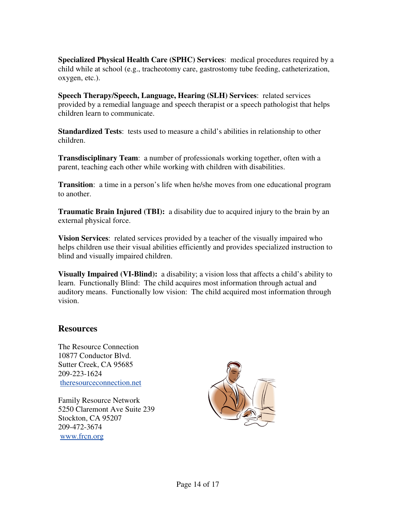**Specialized Physical Health Care (SPHC) Services**: medical procedures required by a child while at school (e.g., tracheotomy care, gastrostomy tube feeding, catheterization, oxygen, etc.).

**Speech Therapy/Speech, Language, Hearing (SLH) Services**: related services provided by a remedial language and speech therapist or a speech pathologist that helps children learn to communicate.

**Standardized Tests**: tests used to measure a child's abilities in relationship to other children.

**Transdisciplinary Team**: a number of professionals working together, often with a parent, teaching each other while working with children with disabilities.

**Transition**: a time in a person's life when he/she moves from one educational program to another.

**Traumatic Brain Injured (TBI):** a disability due to acquired injury to the brain by an external physical force.

**Vision Services**: related services provided by a teacher of the visually impaired who helps children use their visual abilities efficiently and provides specialized instruction to blind and visually impaired children.

**Visually Impaired (VI-Blind):** a disability; a vision loss that affects a child's ability to learn. Functionally Blind: The child acquires most information through actual and auditory means. Functionally low vision: The child acquired most information through vision.

### **Resources**

The Resource Connection 10877 Conductor Blvd. Sutter Creek, CA 95685 209-223-1624 theresourceconnection.net

Family Resource Network 5250 Claremont Ave Suite 239 Stockton, CA 95207 209-472-3674 www.frcn.org

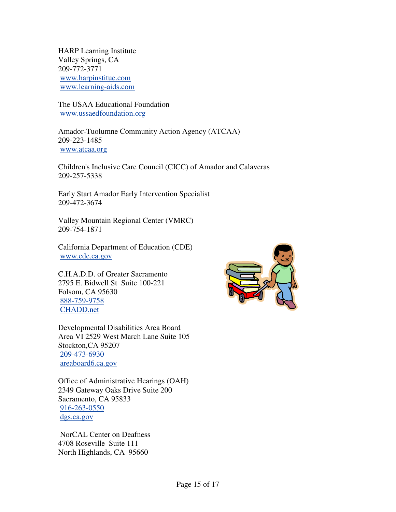HARP Learning Institute Valley Springs, CA 209-772-3771 www.harpinstitue.com www.learning-aids.com

The USAA Educational Foundation www.ussaedfoundation.org

Amador-Tuolumne Community Action Agency (ATCAA) 209-223-1485 www.atcaa.org

Children's Inclusive Care Council (CICC) of Amador and Calaveras 209-257-5338

Early Start Amador Early Intervention Specialist 209-472-3674

Valley Mountain Regional Center (VMRC) 209-754-1871

California Department of Education (CDE) www.cde.ca.gov

C.H.A.D.D. of Greater Sacramento 2795 E. Bidwell St Suite 100-221 Folsom, CA 95630 888-759-9758 CHADD.net

Developmental Disabilities Area Board Area VI 2529 West March Lane Suite 105 Stockton,CA 95207 209-473-6930 areaboard6.ca.gov

Office of Administrative Hearings (OAH) 2349 Gateway Oaks Drive Suite 200 Sacramento, CA 95833 916-263-0550 dgs.ca.gov

 NorCAL Center on Deafness 4708 Roseville Suite 111 North Highlands, CA 95660

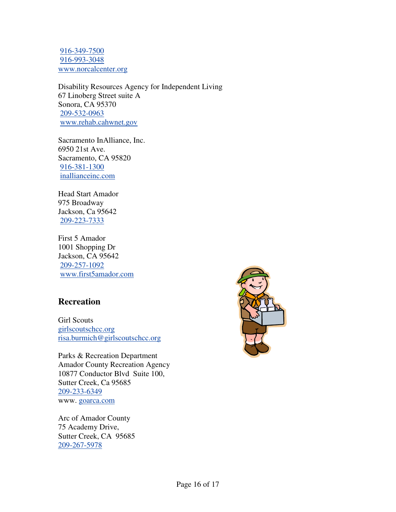916-349-7500 916-993-3048 www.norcalcenter.org

Disability Resources Agency for Independent Living 67 Linoberg Street suite A Sonora, CA 95370 209-532-0963 www.rehab.cahwnet.gov

Sacramento InAlliance, Inc. 6950 21st Ave. Sacramento, CA 95820 916-381-1300 inallianceinc.com

Head Start Amador 975 Broadway Jackson, Ca 95642 209-223-7333

First 5 Amador 1001 Shopping Dr Jackson, CA 95642 209-257-1092 www.first5amador.com

### **Recreation**

Girl Scouts girlscoutschcc.org risa.burmich@girlscoutschcc.org

Parks & Recreation Department Amador County Recreation Agency 10877 Conductor Blvd Suite 100, Sutter Creek, Ca 95685 209-233-6349 www. goarca.com

Arc of Amador County 75 Academy Drive, Sutter Creek, CA 95685 209-267-5978